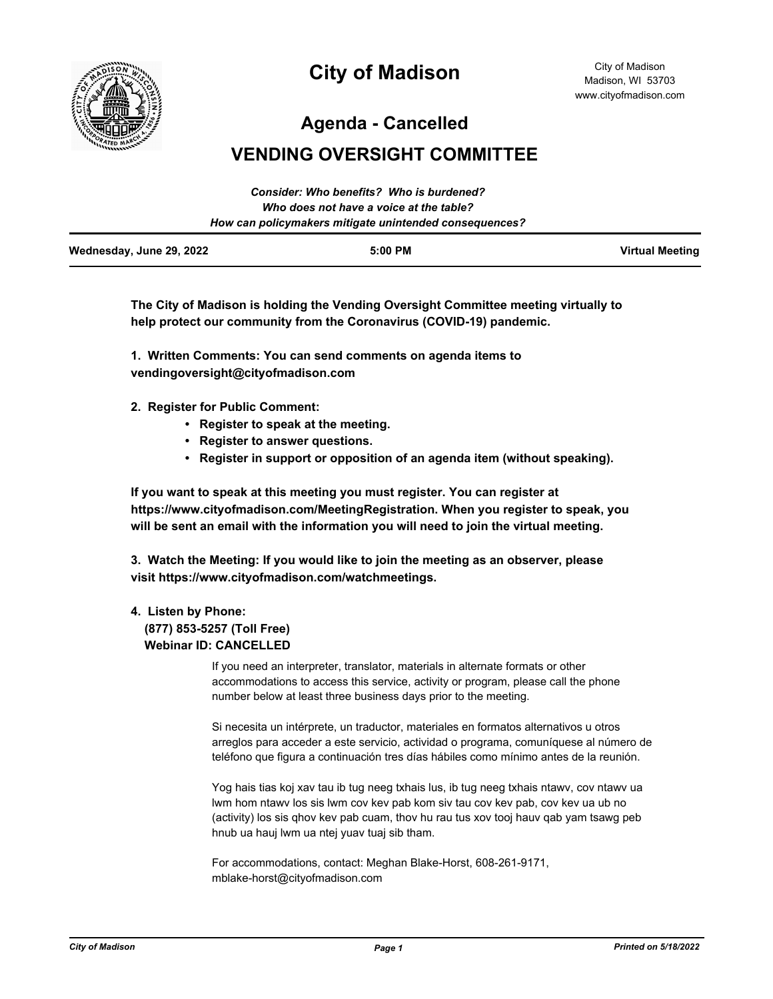

# **City of Madison**

City of Madison Madison, WI 53703 www.cityofmadison.com

**Agenda - Cancelled**

# **VENDING OVERSIGHT COMMITTEE**

|                          | Consider: Who benefits? Who is burdened?               |                        |
|--------------------------|--------------------------------------------------------|------------------------|
|                          | Who does not have a voice at the table?                |                        |
|                          | How can policymakers mitigate unintended consequences? |                        |
| Wednesday, June 29, 2022 | $5:00$ PM                                              | <b>Virtual Meeting</b> |

**The City of Madison is holding the Vending Oversight Committee meeting virtually to help protect our community from the Coronavirus (COVID-19) pandemic.**

**1. Written Comments: You can send comments on agenda items to vendingoversight@cityofmadison.com**

- **2. Register for Public Comment:** 
	- **Register to speak at the meeting.**
	- **Register to answer questions.**
	- **Register in support or opposition of an agenda item (without speaking).**

**If you want to speak at this meeting you must register. You can register at https://www.cityofmadison.com/MeetingRegistration. When you register to speak, you will be sent an email with the information you will need to join the virtual meeting.**

**3. Watch the Meeting: If you would like to join the meeting as an observer, please visit https://www.cityofmadison.com/watchmeetings.**

#### **4. Listen by Phone:**

## **(877) 853-5257 (Toll Free) Webinar ID: CANCELLED**

If you need an interpreter, translator, materials in alternate formats or other accommodations to access this service, activity or program, please call the phone number below at least three business days prior to the meeting.

Si necesita un intérprete, un traductor, materiales en formatos alternativos u otros arreglos para acceder a este servicio, actividad o programa, comuníquese al número de teléfono que figura a continuación tres días hábiles como mínimo antes de la reunión.

Yog hais tias koj xav tau ib tug neeg txhais lus, ib tug neeg txhais ntawv, cov ntawv ua lwm hom ntawv los sis lwm cov kev pab kom siv tau cov kev pab, cov kev ua ub no (activity) los sis qhov kev pab cuam, thov hu rau tus xov tooj hauv qab yam tsawg peb hnub ua hauj lwm ua ntej yuav tuaj sib tham.

For accommodations, contact: Meghan Blake-Horst, 608-261-9171, mblake-horst@cityofmadison.com